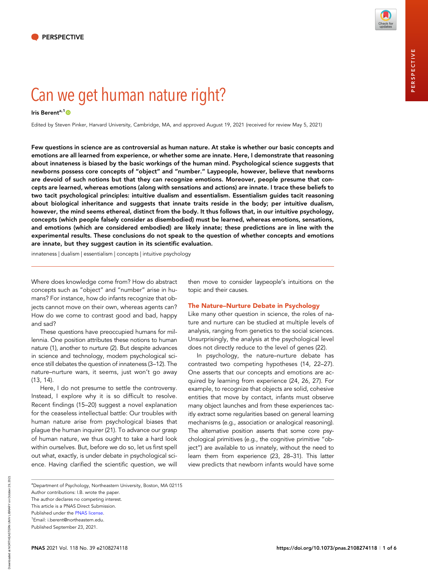PERSPECTIVE

PERSPECTIVE

# Can [we](https://orcid.org/0000-0002-6424-7702) get human nature right?

# Iris Berent<sup>a,1</sup>O

Edited by Steven Pinker, Harvard University, Cambridge, MA, and approved August 19, 2021 (received for review May 5, 2021)

Few questions in science are as controversial as human nature. At stake is whether our basic concepts and emotions are all learned from experience, or whether some are innate. Here, I demonstrate that reasoning about innateness is biased by the basic workings of the human mind. Psychological science suggests that newborns possess core concepts of "object" and "number." Laypeople, however, believe that newborns are devoid of such notions but that they can recognize emotions. Moreover, people presume that concepts are learned, whereas emotions (along with sensations and actions) are innate. I trace these beliefs to two tacit psychological principles: intuitive dualism and essentialism. Essentialism guides tacit reasoning about biological inheritance and suggests that innate traits reside in the body; per intuitive dualism, however, the mind seems ethereal, distinct from the body. It thus follows that, in our intuitive psychology, concepts (which people falsely consider as disembodied) must be learned, whereas emotions, sensations, and emotions (which are considered embodied) are likely innate; these predictions are in line with the experimental results. These conclusions do not speak to the question of whether concepts and emotions are innate, but they suggest caution in its scientific evaluation.

innateness | dualism | essentialism | concepts | intuitive psychology

Where does knowledge come from? How do abstract concepts such as "object" and "number" arise in humans? For instance, how do infants recognize that objects cannot move on their own, whereas agents can? How do we come to contrast good and bad, happy and sad?

These questions have preoccupied humans for millennia. One position attributes these notions to human nature (1), another to nurture (2). But despite advances in science and technology, modern psychological science still debates the question of innateness (3–12). The nature–nurture wars, it seems, just won't go away (13, 14).

Here, I do not presume to settle the controversy. Instead, I explore why it is so difficult to resolve. Recent findings (15–20) suggest a novel explanation for the ceaseless intellectual battle: Our troubles with human nature arise from psychological biases that plague the human inquirer (21). To advance our grasp of human nature, we thus ought to take a hard look within ourselves. But, before we do so, let us first spell out what, exactly, is under debate in psychological science. Having clarified the scientific question, we will

then move to consider laypeople's intuitions on the topic and their causes.

# The Nature–Nurture Debate in Psychology

Like many other question in science, the roles of nature and nurture can be studied at multiple levels of analysis, ranging from genetics to the social sciences. Unsurprisingly, the analysis at the psychological level does not directly reduce to the level of genes (22).

In psychology, the nature–nurture debate has contrasted two competing hypotheses (14, 22–27). One asserts that our concepts and emotions are acquired by learning from experience (24, 26, 27). For example, to recognize that objects are solid, cohesive entities that move by contact, infants must observe many object launches and from these experiences tacitly extract some regularities based on general learning mechanisms (e.g., association or analogical reasoning). The alternative position asserts that some core psychological primitives (e.g., the cognitive primitive "object") are available to us innately, without the need to learn them from experience (23, 28–31). This latter view predicts that newborn infants would have some

<sup>a</sup>Department of Psychology, Northeastern University, Boston, MA 02115 Author contributions: I.B. wrote the paper.

The author declares no competing interest. This article is a PNAS Direct Submission. Published under the [PNAS license.](https://www.pnas.org/site/aboutpnas/licenses.xhtml) 1 Email: i.berent@northeastern.edu.

Downloaded at NORTHEASTERN UNIV LIBRARY on October 29, 2021 Downloaded at NORTHEASTERN UNIV LIBRARY on October 29, 2021

Published September 23, 2021.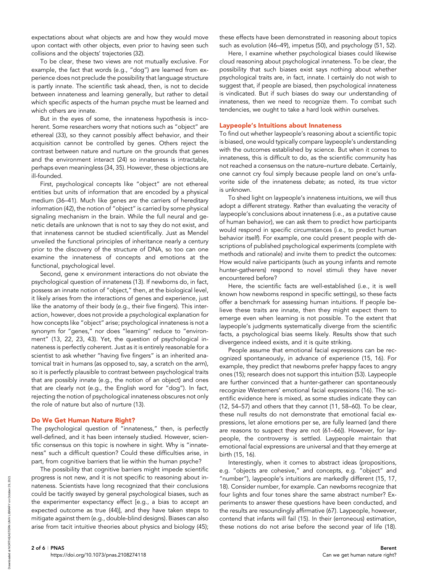expectations about what objects are and how they would move upon contact with other objects, even prior to having seen such collisions and the objects' trajectories (32).

To be clear, these two views are not mutually exclusive. For example, the fact that words (e.g., "dog") are learned from experience does not preclude the possibility that language structure is partly innate. The scientific task ahead, then, is not to decide between innateness and learning generally, but rather to detail which specific aspects of the human psyche must be learned and which others are innate.

But in the eyes of some, the innateness hypothesis is incoherent. Some researchers worry that notions such as "object" are ethereal (33), so they cannot possibly affect behavior, and their acquisition cannot be controlled by genes. Others reject the contrast between nature and nurture on the grounds that genes and the environment interact (24) so innateness is intractable, perhaps even meaningless (34, 35). However, these objections are ill-founded.

First, psychological concepts like "object" are not ethereal entities but units of information that are encoded by a physical medium (36–41). Much like genes are the carriers of hereditary information (42), the notion of "object" is carried by some physical signaling mechanism in the brain. While the full neural and genetic details are unknown that is not to say they do not exist, and that innateness cannot be studied scientifically. Just as Mendel unveiled the functional principles of inheritance nearly a century prior to the discovery of the structure of DNA, so too can one examine the innateness of concepts and emotions at the functional, psychological level.

Second, gene × environment interactions do not obviate the psychological question of innateness (13). If newborns do, in fact, possess an innate notion of "object," then, at the biological level, it likely arises from the interactions of genes and experience, just like the anatomy of their body (e.g., their five fingers). This interaction, however, does not provide a psychological explanation for how concepts like "object" arise; psychological innateness is not a synonym for "genes," nor does "learning" reduce to "environment" (13, 22, 23, 43). Yet, the question of psychological innateness is perfectly coherent. Just as it is entirely reasonable for a scientist to ask whether "having five fingers" is an inherited anatomical trait in humans (as opposed to, say, a scratch on the arm), so it is perfectly plausible to contrast between psychological traits that are possibly innate (e.g., the notion of an object) and ones that are clearly not (e.g., the English word for "dog"). In fact, rejecting the notion of psychological innateness obscures not only the role of nature but also of nurture (13).

## Do We Get Human Nature Right?

The psychological question of "innateness," then, is perfectly well-defined, and it has been intensely studied. However, scientific consensus on this topic is nowhere in sight. Why is "innateness" such a difficult question? Could these difficulties arise, in part, from cognitive barriers that lie within the human psyche?

The possibility that cognitive barriers might impede scientific progress is not new, and it is not specific to reasoning about innateness. Scientists have long recognized that their conclusions could be tacitly swayed by general psychological biases, such as the experimenter expectancy effect [e.g., a bias to accept an expected outcome as true (44)], and they have taken steps to mitigate against them (e.g., double-blind designs). Biases can also arise from tacit intuitive theories about physics and biology (45);

these effects have been demonstrated in reasoning about topics such as evolution (46–49), impetus (50), and psychology (51, 52).

Here, I examine whether psychological biases could likewise cloud reasoning about psychological innateness. To be clear, the possibility that such biases exist says nothing about whether psychological traits are, in fact, innate. I certainly do not wish to suggest that, if people are biased, then psychological innateness is vindicated. But if such biases do sway our understanding of innateness, then we need to recognize them. To combat such tendencies, we ought to take a hard look within ourselves.

#### Laypeople's Intuitions about Innateness

To find out whether laypeople's reasoning about a scientific topic is biased, one would typically compare laypeople's understanding with the outcomes established by science. But when it comes to innateness, this is difficult to do, as the scientific community has not reached a consensus on the nature–nurture debate. Certainly, one cannot cry foul simply because people land on one's unfavorite side of the innateness debate; as noted, its true victor is unknown.

To shed light on laypeople's innateness intuitions, we will thus adopt a different strategy. Rather than evaluating the veracity of laypeople's conclusions about innateness (i.e., as a putative cause of human behavior), we can ask them to predict how participants would respond in specific circumstances (i.e., to predict human behavior itself). For example, one could present people with descriptions of published psychological experiments (complete with methods and rationale) and invite them to predict the outcomes: How would naïve participants (such as young infants and remote hunter-gatherers) respond to novel stimuli they have never encountered before?

Here, the scientific facts are well-established (i.e., it is well known how newborns respond in specific settings), so these facts offer a benchmark for assessing human intuitions. If people believe these traits are innate, then they might expect them to emerge even when learning is not possible. To the extent that laypeople's judgments systematically diverge from the scientific facts, a psychological bias seems likely. Results show that such divergence indeed exists, and it is quite striking.

People assume that emotional facial expressions can be recognized spontaneously, in advance of experience (15, 16). For example, they predict that newborns prefer happy faces to angry ones (15); research does not support this intuition (53). Laypeople are further convinced that a hunter-gatherer can spontaneously recognize Westerners' emotional facial expressions (16). The scientific evidence here is mixed, as some studies indicate they can (12, 54–57) and others that they cannot (11, 58–60). To be clear, these null results do not demonstrate that emotional facial expressions, let alone emotions per se, are fully learned (and there are reasons to suspect they are not (61–66)). However, for laypeople, the controversy is settled. Laypeople maintain that emotional facial expressions are universal and that they emerge at birth (15, 16).

Interestingly, when it comes to abstract ideas (propositions, e.g. "objects are cohesive," and concepts, e.g. "object" and "number"), laypeople's intuitions are markedly different (15, 17, 18). Consider number, for example. Can newborns recognize that four lights and four tones share the same abstract number? Experiments to answer these questions have been conducted, and the results are resoundingly affirmative (67). Laypeople, however, contend that infants will fail (15). In their (erroneous) estimation, these notions do not arise before the second year of life (18).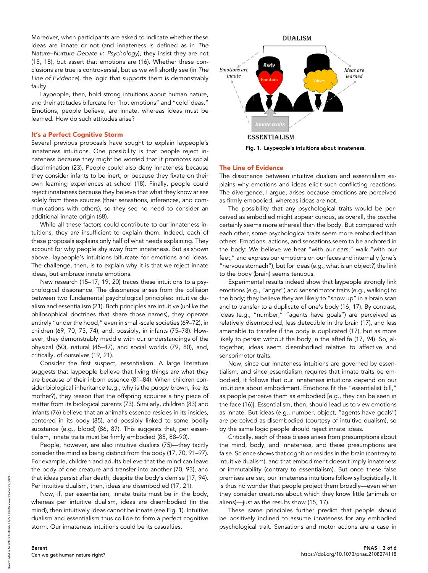Moreover, when participants are asked to indicate whether these ideas are innate or not (and innateness is defined as in The Nature–Nurture Debate in Psychology), they insist they are not (15, 18), but assert that emotions are (16). Whether these conclusions are true is controversial, but as we will shortly see (in The Line of Evidence), the logic that supports them is demonstrably faulty.

Laypeople, then, hold strong intuitions about human nature, and their attitudes bifurcate for "hot emotions" and "cold ideas." Emotions, people believe, are innate, whereas ideas must be learned. How do such attitudes arise?

# It's a Perfect Cognitive Storm

Several previous proposals have sought to explain laypeople's innateness intuitions. One possibility is that people reject innateness because they might be worried that it promotes social discrimination (23). People could also deny innateness because they consider infants to be inert, or because they fixate on their own learning experiences at school (18). Finally, people could reject innateness because they believe that what they know arises solely from three sources (their sensations, inferences, and communications with others), so they see no need to consider an additional innate origin (68).

While all these factors could contribute to our innateness intuitions, they are insufficient to explain them. Indeed, each of these proposals explains only half of what needs explaining. They account for why people shy away from innateness. But as shown above, laypeople's intuitions bifurcate for emotions and ideas. The challenge, then, is to explain why it is that we reject innate ideas, but embrace innate emotions.

New research (15–17, 19, 20) traces these intuitions to a psychological dissonance. The dissonance arises from the collision between two fundamental psychological principles: intuitive dualism and essentialism (21). Both principles are intuitive (unlike the philosophical doctrines that share those names), they operate entirely "under the hood," even in small-scale societies (69–72), in children (69, 70, 73, 74), and, possibly, in infants (75–78). However, they demonstrably meddle with our understandings of the physical (50), natural (45–47), and social worlds (79, 80), and, critically, of ourselves (19, 21).

Consider the first suspect, essentialism. A large literature suggests that laypeople believe that living things are what they are because of their inborn essence (81–84). When children consider biological inheritance (e.g., why is the puppy brown, like its mother?), they reason that the offspring acquires a tiny piece of matter from its biological parents (73). Similarly, children (83) and infants (76) believe that an animal's essence resides in its insides, centered in its body (85), and possibly linked to some bodily substance (e.g., blood) (86, 87). This suggests that, per essentialism, innate traits must be firmly embodied (85, 88–90).

People, however, are also intuitive dualists (75)—they tacitly consider the mind as being distinct from the body (17, 70, 91–97). For example, children and adults believe that the mind can leave the body of one creature and transfer into another (70, 93), and that ideas persist after death, despite the body's demise (17, 94). Per intuitive dualism, then, ideas are disembodied (17, 21).

Now, if, per essentialism, innate traits must be in the body, whereas per intuitive dualism, ideas are disembodied (in the mind), then intuitively ideas cannot be innate (see Fig. 1). Intuitive dualism and essentialism thus collide to form a perfect cognitive storm. Our innateness intuitions could be its casualties.



Fig. 1. Laypeople's intuitions about innateness.

# The Line of Evidence

The dissonance between intuitive dualism and essentialism explains why emotions and ideas elicit such conflicting reactions. The divergence, I argue, arises because emotions are perceived as firmly embodied, whereas ideas are not.

The possibility that any psychological traits would be perceived as embodied might appear curious, as overall, the psyche certainly seems more ethereal than the body. But compared with each other, some psychological traits seem more embodied than others. Emotions, actions, and sensations seem to be anchored in the body: We believe we hear "with our ears," walk "with our feet," and express our emotions on our faces and internally (one's "nervous stomach"), but for ideas (e.g., what is an object?) the link to the body (brain) seems tenuous.

Experimental results indeed show that laypeople strongly link emotions (e.g., "anger") and sensorimotor traits (e.g., walking) to the body; they believe they are likely to "show up" in a brain scan and to transfer to a duplicate of one's body (16, 17). By contrast, ideas (e.g., "number," "agents have goals") are perceived as relatively disembodied, less detectible in the brain (17), and less amenable to transfer if the body is duplicated (17), but as more likely to persist without the body in the afterlife (17, 94). So, altogether, ideas seem disembodied relative to affective and sensorimotor traits.

Now, since our innateness intuitions are governed by essentialism, and since essentialism requires that innate traits be embodied, it follows that our innateness intuitions depend on our intuitions about embodiment. Emotions fit the "essentialist bill," as people perceive them as embodied [e.g., they can be seen in the face (16)]. Essentialism, then, should lead us to view emotions as innate. But ideas (e.g., number, object, "agents have goals") are perceived as disembodied (courtesy of intuitive dualism), so by the same logic people should reject innate ideas.

Critically, each of these biases arises from presumptions about the mind, body, and innateness, and these presumptions are false. Science shows that cognition resides in the brain (contrary to intuitive dualism), and that embodiment doesn't imply innateness or immutability (contrary to essentialism). But once these false premises are set, our innateness intuitions follow syllogistically. It is thus no wonder that people project them broadly—even when they consider creatures about which they know little (animals or aliens)—just as the results show (15, 17).

These same principles further predict that people should be positively inclined to assume innateness for any embodied psychological trait. Sensations and motor actions are a case in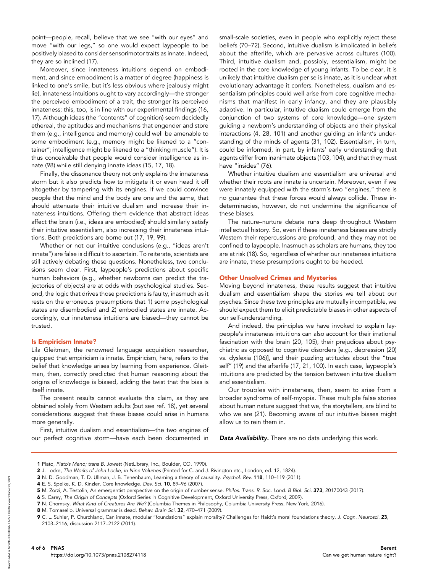point—people, recall, believe that we see "with our eyes" and move "with our legs," so one would expect laypeople to be positively biased to consider sensorimotor traits as innate. Indeed, they are so inclined (17).

Moreover, since innateness intuitions depend on embodiment, and since embodiment is a matter of degree (happiness is linked to one's smile, but it's less obvious where jealously might lie), innateness intuitions ought to vary accordingly—the stronger the perceived embodiment of a trait, the stronger its perceived innateness; this, too, is in line with our experimental findings (16, 17). Although ideas (the "contents" of cognition) seem decidedly ethereal, the aptitudes and mechanisms that engender and store them (e.g., intelligence and memory) could well be amenable to some embodiment (e.g., memory might be likened to a "container"; intelligence might be likened to a "thinking muscle"). It is thus conceivable that people would consider intelligence as innate (98) while still denying innate ideas (15, 17, 18).

Finally, the dissonance theory not only explains the innateness storm but it also predicts how to mitigate it or even head it off altogether by tampering with its engines. If we could convince people that the mind and the body are one and the same, that should attenuate their intuitive dualism and increase their innateness intuitions. Offering them evidence that abstract ideas affect the brain (i.e., ideas are embodied) should similarly satisfy their intuitive essentialism, also increasing their innateness intuitions. Both predictions are borne out (17, 19, 99).

Whether or not our intuitive conclusions (e.g., "ideas aren't innate") are false is difficult to ascertain. To reiterate, scientists are still actively debating these questions. Nonetheless, two conclusions seem clear. First, laypeople's predictions about specific human behaviors (e.g., whether newborns can predict the trajectories of objects) are at odds with psychological studies. Second, the logic that drives those predictions is faulty, inasmuch as it rests on the erroneous presumptions that 1) some psychological states are disembodied and 2) embodied states are innate. Accordingly, our innateness intuitions are biased—they cannot be trusted.

## Is Empiricism Innate?

Lila Gleitman, the renowned language acquisition researcher, quipped that empiricism is innate. Empiricism, here, refers to the belief that knowledge arises by learning from experience. Gleitman, then, correctly predicted that human reasoning about the origins of knowledge is biased, adding the twist that the bias is itself innate.

The present results cannot evaluate this claim, as they are obtained solely from Western adults (but see ref. 18), yet several considerations suggest that these biases could arise in humans more generally.

First, intuitive dualism and essentialism—the two engines of our perfect cognitive storm—have each been documented in small-scale societies, even in people who explicitly reject these beliefs (70–72). Second, intuitive dualism is implicated in beliefs about the afterlife, which are pervasive across cultures (100). Third, intuitive dualism and, possibly, essentialism, might be rooted in the core knowledge of young infants. To be clear, it is unlikely that intuitive dualism per se is innate, as it is unclear what evolutionary advantage it confers. Nonetheless, dualism and essentialism principles could well arise from core cognitive mechanisms that manifest in early infancy, and they are plausibly adaptive. In particular, intuitive dualism could emerge from the conjunction of two systems of core knowledge—one system guiding a newborn's understanding of objects and their physical interactions (4, 28, 101) and another guiding an infant's understanding of the minds of agents (31, 102). Essentialism, in turn, could be informed, in part, by infants' early understanding that agents differ from inanimate objects (103, 104), and that they must have "insides" (76).

Whether intuitive dualism and essentialism are universal and whether their roots are innate is uncertain. Moreover, even if we were innately equipped with the storm's two "engines," there is no guarantee that these forces would always collide. These indeterminacies, however, do not undermine the significance of these biases.

The nature–nurture debate runs deep throughout Western intellectual history. So, even if these innateness biases are strictly Western their repercussions are profound, and they may not be confined to laypeople. Inasmuch as scholars are humans, they too are at risk (18). So, regardless of whether our innateness intuitions are innate, these presumptions ought to be heeded.

#### Other Unsolved Crimes and Mysteries

Moving beyond innateness, these results suggest that intuitive dualism and essentialism shape the stories we tell about our psyches. Since these two principles are mutually incompatible, we should expect them to elicit predictable biases in other aspects of our self-understanding.

And indeed, the principles we have invoked to explain laypeople's innateness intuitions can also account for their irrational fascination with the brain (20, 105), their prejudices about psychiatric as opposed to cognitive disorders [e.g., depression (20) vs. dyslexia (106)], and their puzzling attitudes about the "true self" (19) and the afterlife (17, 21, 100). In each case, laypeople's intuitions are predicted by the tension between intuitive dualism and essentialism.

Our troubles with innateness, then, seem to arise from a broader syndrome of self-myopia. These multiple false stories about human nature suggest that we, the storytellers, are blind to who we are (21). Becoming aware of our intuitive biases might allow us to rein them in.

Data Availability. There are no data underlying this work.

<sup>2</sup> J. Locke, The Works of John Locke, in Nine Volumes (Printed for C. and J. Rivington etc., London, ed. 12, 1824).

<sup>3</sup> N. D. Goodman, T. D. Ullman, J. B. Tenenbaum, Learning a theory of causality. Psychol. Rev. 118, 110–119 (2011).

<sup>4</sup> E. S. Spelke, K. D. Kinzler, Core knowledge. Dev. Sci. 10, 89–96 (2007).

<sup>5</sup> M. Zorzi, A. Testolin, An emergentist perspective on the origin of number sense. Philos. Trans. R. Soc. Lond. B Biol. Sci. 373, 20170043 (2017).

<sup>6</sup> S. Carey, The Origin of Concepts (Oxford Series in Cognitive Development, Oxford University Press, Oxford, 2009).

<sup>7</sup> N. Chomsky, What Kind of Creatures Are We? (Columbia Themes in Philosophy, Columbia University Press, New York, 2016).

<sup>8</sup> M. Tomasello, Universal grammar is dead. Behav. Brain Sci. 32, 470–471 (2009).

<sup>9</sup> C. L. Suhler, P. Churchland, Can innate, modular "foundations" explain morality? Challenges for Haidt's moral foundations theory. J. Cogn. Neurosci. 23, 2103–2116, discussion 2117–2122 (2011).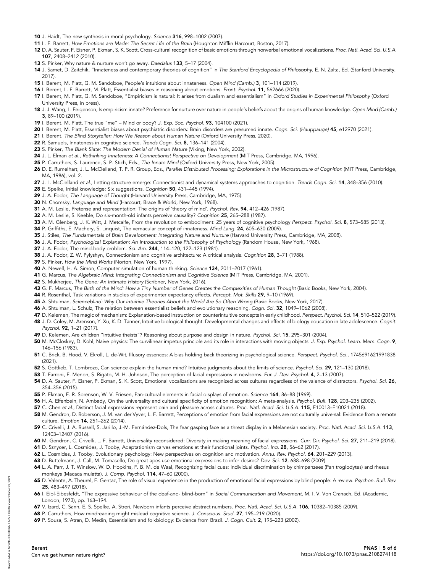- 10 J. Haidt, The new synthesis in moral psychology. Science 316, 998–1002 (2007).
- 11 L. F. Barrett, How Emotions are Made: The Secret Life of the Brain (Houghton Mifflin Harcourt, Boston, 2017).
- 12 D. A. Sauter, F. Eisner, P. Ekman, S. K. Scott, Cross-cultural recognition of basic emotions through nonverbal emotional vocalizations. Proc. Natl. Acad. Sci. U.S.A. 107, 2408–2412 (2010).
- 13 S. Pinker, Why nature & nurture won't go away. Daedalus 133, 5-17 (2004).
- 14 J. Samet, D. Zaitchik, "Innateness and contemporary theories of cognition" in The Stanford Encyclopedia of Philosophy, E. N. Zalta, Ed. (Stanford University, 2017).
- 15 I. Berent, M. Platt, G. M. Sandoboe, People's intuitions about innateness. Open Mind (Camb.) 3, 101–114 (2019).
- 16 I. Berent, L. F. Barrett, M. Platt, Essentialist biases in reasoning about emotions. Front. Psychol. 11, 562666 (2020).
- 17 I. Berent, M. Platt, G. M. Sandoboe, "Empiricism is natural: It arises from dualism and essentialism" in Oxford Studies in Experimental Philosophy (Oxford University Press, in press).
- 18 J. J. Wang, L. Feigenson, Is empiricism innate? Preference for nurture over nature in people's beliefs about the origins of human knowledge. Open Mind (Camb.) 3, 89–100 (2019).
- 19 I. Berent, M. Platt, The true "me" Mind or body? J. Exp. Soc. Psychol. 93, 104100 (2021).
- 20 I. Berent, M. Platt, Essentialist biases about psychiatric disorders: Brain disorders are presumed innate. Cogn. Sci. (Hauppauge) 45, e12970 (2021).
- 21 I. Berent, The Blind Storyteller: How We Reason about Human Nature (Oxford University Press, 2020).
- 22 R. Samuels, Innateness in cognitive science. Trends Cogn. Sci. 8, 136–141 (2004).
- 23 S. Pinker, The Blank Slate: The Modern Denial of Human Nature (Viking, New York, 2002).
- 24 J. L. Elman et al., Rethinking Innateness: A Connectionist Perspective on Development (MIT Press, Cambridge, MA, 1996).
- 25 P. Carruthers, S. Laurence, S. P. Stich, Eds., The Innate Mind (Oxford University Press, New York, 2005).
- 26 D. E. Rumelhart, J. L. McClelland, T. P. R. Group, Eds., Parallel Distributed Processing: Explorations in the Microstructure of Cognition (MIT Press, Cambridge, MA, 1986), vol. 2.
- 27 J. L. McClelland et al., Letting structure emerge: Connectionist and dynamical systems approaches to cognition. Trends Cogn. Sci. 14, 348-356 (2010).
- 28 E. Spelke, Initial knowledge: Six suggestions. Cognition 50, 431–445 (1994).
- 29 J. A. Fodor, The Language of Thought (Harvard University Press, Cambridge, MA, 1975).
- 30 N. Chomsky, Language and Mind (Harcourt, Brace & World, New York, 1968).
- 31 A. M. Leslie, Pretense and representation: The origins of 'theory of mind'. Psychol. Rev. 94, 412-426 (1987).
- 32 A. M. Leslie, S. Keeble, Do six-month-old infants perceive causality? Cognition 25, 265–288 (1987).
- 33 A. M. Glenberg, J. K. Witt, J. Metcalfe, From the revolution to embodiment: 25 years of cognitive psychology Perspect. Psychol. Sci. 8, 573-585 (2013).
- 34 P. Griffiths, E. Machery, S. Linquist, The vernacular concept of innateness. Mind Lang. 24, 605–630 (2009).
- 35 J. Stiles, The Fundamentals of Brain Development: Integrating Nature and Nurture (Harvard University Press, Cambridge, MA, 2008).
- 36 J. A. Fodor, Psychological Explanation: An Introduction to the Philosophy of Psychology (Random House, New York, 1968).
- 37 J. A. Fodor, The mind-body problem. Sci. Am. 244, 114–120, 122–123 (1981).
- 38 J. A. Fodor, Z. W. Pylyshyn, Connectionism and cognitive architecture: A critical analysis. Cognition 28, 3–71 (1988).
- 39 S. Pinker, How the Mind Works (Norton, New York, 1997).
- 40 A. Newell, H. A. Simon, Computer simulation of human thinking. Science 134, 2011–2017 (1961).
- 41 G. Marcus, The Algebraic Mind: Integrating Connectionism and Cognitive Science (MIT Press, Cambridge, MA, 2001).
- 42 S. Mukherjee, The Gene: An Intimate History (Scribner, New York, 2016).
- 43 G. F. Marcus, The Birth of the Mind: How a Tiny Number of Genes Creates the Complexities of Human Thought (Basic Books, New York, 2004).
- 44 R. Rosenthal, Task variations in studies of experimenter expectancy effects. Percept. Mot. Skills 29, 9–10 (1969).
- 45 A. Shtulman, Scienceblind: Why Our Intuitive Theories About the World Are So Often Wrong (Basic Books, New York, 2017).
- 46 A. Shtulman, L. Schulz, The relation between essentialist beliefs and evolutionary reasoning. Cogn. Sci. 32, 1049-1062 (2008).
- 47 D. Kelemen, The magic of mechanism: Explanation-based instruction on counterintuitive concepts in early childhood. Perspect. Psychol. Sci. 14, 510-522 (2019). 48 J. D. Coley, M. Arenson, Y. Xu, K. D. Tanner, Intuitive biological thought: Developmental changes and effects of biology education in late adolescence. Cognit. Psychol. 92, 1–21 (2017).
- 49 D. Kelemen, Are children "intuitive theists"? Reasoning about purpose and design in nature. Psychol. Sci. 15, 295-301 (2004).
- 50 M. McCloskey, D. Kohl, Naive physics: The curvilinear impetus principle and its role in interactions with moving objects. J. Exp. Psychol. Learn. Mem. Cogn. 9, 146–156 (1983).
- 51 C. Brick, B. Hood, V. Ekroll, L. de-Wit, Illusory essences: A bias holding back theorizing in psychological science. Perspect. Psychol. Sci., 1745691621991838 (2021).
- 52 S. Gottlieb, T. Lombrozo, Can science explain the human mind? Intuitive judgments about the limits of science. Psychol. Sci. 29, 121-130 (2018).
- 53 T. Farroni, E. Menon, S. Rigato, M. H. Johnson, The perception of facial expressions in newborns. Eur. J. Dev. Psychol. 4, 2-13 (2007).
- 54 D. A. Sauter, F. Eisner, P. Ekman, S. K. Scott, Emotional vocalizations are recognized across cultures regardless of the valence of distractors. Psychol. Sci. 26, 354–356 (2015).
- 55 P. Ekman, E. R. Sorenson, W. V. Friesen, Pan-cultural elements in facial displays of emotion. Science 164, 86–88 (1969).
- 56 H. A. Elfenbein, N. Ambady, On the universality and cultural specificity of emotion recognition: A meta-analysis. Psychol. Bull. 128, 203-235 (2002).
- 57 C. Chen et al., Distinct facial expressions represent pain and pleasure across cultures. Proc. Natl. Acad. Sci. U.S.A. 115, E10013-E10021 (2018).
- 58 M. Gendron, D. Roberson, J. M. van der Vyver, L. F. Barrett, Perceptions of emotion from facial expressions are not culturally universal: Evidence from a remote culture. Emotion 14, 251–262 (2014).
- 59 C. Crivelli, J. A. Russell, S. Jarillo, J.-M. Fernández-Dols, The fear gasping face as a threat display in a Melanesian society. Proc. Natl. Acad. Sci. U.S.A. 113, 12403–12407 (2016).
- 60 M. Gendron, C. Crivelli, L. F. Barrett, Universality reconsidered: Diversity in making meaning of facial expressions. Curr. Dir. Psychol. Sci. 27, 211-219 (2018).
- 61 D. Sznycer, L. Cosmides, J. Tooby, Adaptationism carves emotions at their functional joints. Psychol. Inq. 28, 56–62 (2017).
- 62 L. Cosmides, J. Tooby, Evolutionary psychology: New perspectives on cognition and motivation. Annu. Rev. Psychol. 64, 201–229 (2013).
- 63 D. Buttelmann, J. Call, M. Tomasello, Do great apes use emotional expressions to infer desires? Dev. Sci. 12, 688–698 (2009).
- 64 L. A. Parr, J. T. Winslow, W. D. Hopkins, F. B. M. de Waal, Recognizing facial cues: Individual discrimination by chimpanzees (Pan troglodytes) and rhesus monkeys (Macaca mulatta). J. Comp. Psychol. 114, 47–60 (2000).
- 65 D. Valente, A. Theurel, E. Gentaz, The role of visual experience in the production of emotional facial expressions by blind people: A review. Psychon. Bull. Rev. 25, 483–497 (2018).
- 66 I. Eibl-Eibesfeldt, "The expressive behaviour of the deaf-and- blind-born" in Social Communication and Movement, M. I. V. Von Cranach, Ed. (Academic, London, 1973), pp. 163–194.
- 67 V. Izard, C. Sann, E. S. Spelke, A. Streri, Newborn infants perceive abstract numbers. Proc. Natl. Acad. Sci. U.S.A. 106, 10382–10385 (2009).
- 68 P. Carruthers, How mindreading might mislead cognitive science. J. Conscious. Stud. 27, 195–219 (2020).
- 69 P. Sousa, S. Atran, D. Medin, Essentialism and folkbiology: Evidence from Brazil. J. Cogn. Cult. 2, 195–223 (2002).